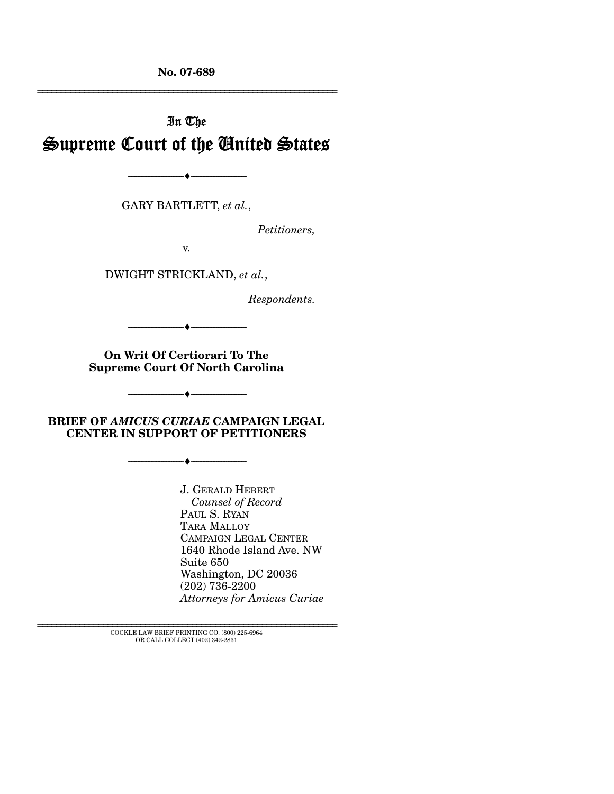**No. 07-689** 

# In The Supreme Court of the United States

GARY BARTLETT, *et al.*,

--------------------------------- ♦ ---------------------------------

*Petitioners,* 

================================================================

v.

DWIGHT STRICKLAND, *et al.*,

*Respondents.* 

**On Writ Of Certiorari To The Supreme Court Of North Carolina** 

--------------------------------- ♦ ---------------------------------

**BRIEF OF** *AMICUS CURIAE* **CAMPAIGN LEGAL CENTER IN SUPPORT OF PETITIONERS** 

--------------------------------- ♦ ---------------------------------

--------------------------------- ♦ ---------------------------------

J. GERALD HEBERT *Counsel of Record*  PAUL S. RYAN TARA MALLOY CAMPAIGN LEGAL CENTER 1640 Rhode Island Ave. NW Suite 650 Washington, DC 20036 (202) 736-2200 *Attorneys for Amicus Curiae* 

================================================================ COCKLE LAW BRIEF PRINTING CO. (800) 225-6964 OR CALL COLLECT (402) 342-2831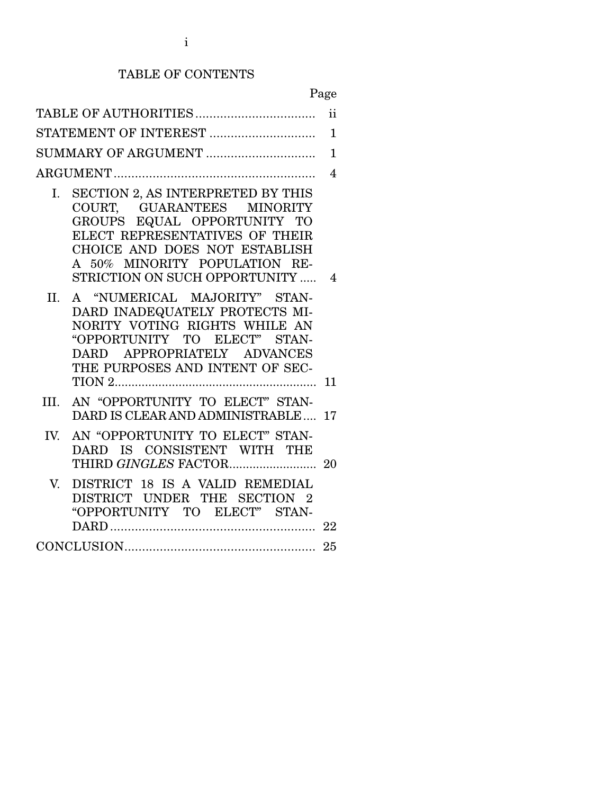# TABLE OF CONTENTS

Page

| ii<br>$\mathbf{1}$<br>$\overline{1}$<br>$\overline{4}$<br>SECTION 2, AS INTERPRETED BY THIS<br>$\mathbf{I}$ .<br>COURT, GUARANTEES MINORITY<br>GROUPS EQUAL OPPORTUNITY TO                                                                                                                                                                                   |
|--------------------------------------------------------------------------------------------------------------------------------------------------------------------------------------------------------------------------------------------------------------------------------------------------------------------------------------------------------------|
|                                                                                                                                                                                                                                                                                                                                                              |
|                                                                                                                                                                                                                                                                                                                                                              |
|                                                                                                                                                                                                                                                                                                                                                              |
|                                                                                                                                                                                                                                                                                                                                                              |
| ELECT REPRESENTATIVES OF THEIR<br>CHOICE AND DOES NOT ESTABLISH<br>A 50% MINORITY POPULATION RE-<br>STRICTION ON SUCH OPPORTUNITY<br>4<br>A "NUMERICAL MAJORITY" STAN-<br>II.<br>DARD INADEQUATELY PROTECTS MI-<br>NORITY VOTING RIGHTS WHILE AN<br>"OPPORTUNITY TO ELECT" STAN-<br>APPROPRIATELY ADVANCES<br><b>DARD</b><br>THE PURPOSES AND INTENT OF SEC- |
| 11                                                                                                                                                                                                                                                                                                                                                           |
| AN "OPPORTUNITY TO ELECT" STAN-<br>III.<br>DARD IS CLEAR AND ADMINISTRABLE 17                                                                                                                                                                                                                                                                                |
| AN "OPPORTUNITY TO ELECT" STAN-<br>IV.<br>DARD IS CONSISTENT WITH THE                                                                                                                                                                                                                                                                                        |
| DISTRICT 18 IS A VALID REMEDIAL<br>V<br>DISTRICT UNDER THE SECTION 2<br>"OPPORTUNITY TO ELECT" STAN-                                                                                                                                                                                                                                                         |
|                                                                                                                                                                                                                                                                                                                                                              |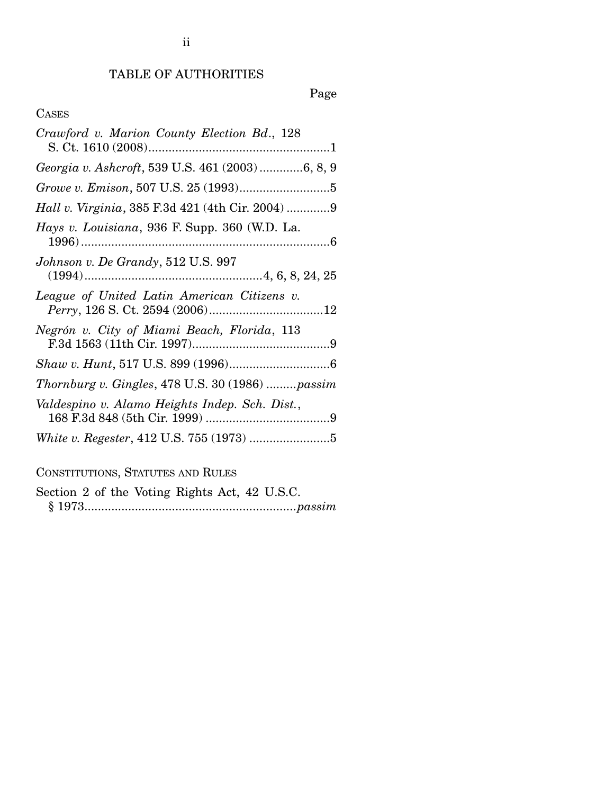# TABLE OF AUTHORITIES

# Page

# CASES

| Crawford v. Marion County Election Bd., 128              |
|----------------------------------------------------------|
| Georgia v. Ashcroft, 539 U.S. 461 (2003) 6, 8, 9         |
|                                                          |
| <i>Hall v. Virginia</i> , 385 F.3d 421 (4th Cir. 2004) 9 |
| Hays v. Louisiana, 936 F. Supp. 360 (W.D. La.            |
| Johnson v. De Grandy, 512 U.S. 997                       |
| League of United Latin American Citizens v.              |
| Negrón v. City of Miami Beach, Florida, 113              |
|                                                          |
| Thornburg v. Gingles, $478$ U.S. $30(1986)$ passim       |
| Valdespino v. Alamo Heights Indep. Sch. Dist.,           |
|                                                          |
| CONSTITUTIONS, STATUTES AND RULES                        |
|                                                          |

Section 2 of the Voting Rights Act, 42 U.S.C. § 1973...............................................................*passim*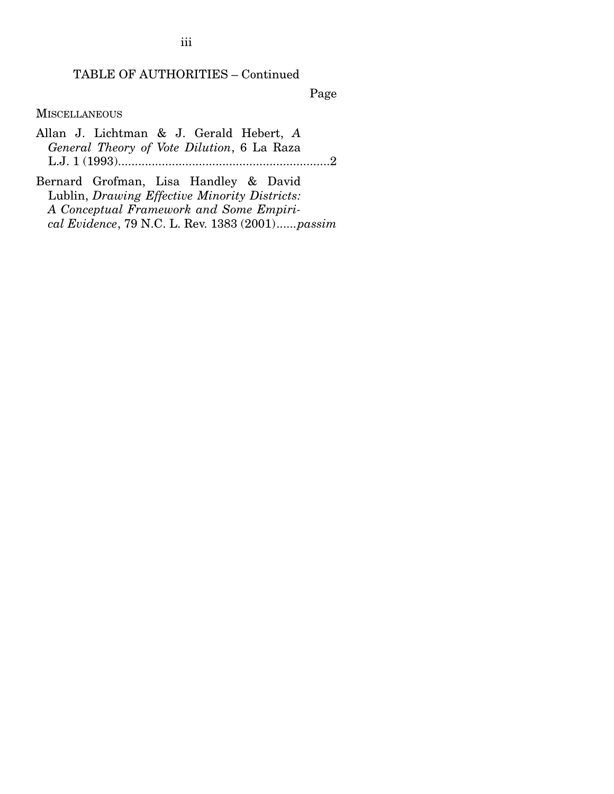# TABLE OF AUTHORITIES – Continued

Page

**MISCELLANEOUS** 

- Allan J. Lichtman & J. Gerald Hebert, *A General Theory of Vote Dilution*, 6 La Raza L.J. 1 (1993)...............................................................2
- Bernard Grofman, Lisa Handley & David Lublin, *Drawing Effective Minority Districts: A Conceptual Framework and Some Empirical Evidence*, 79 N.C. L. Rev. 1383 (2001)......*passim*

iii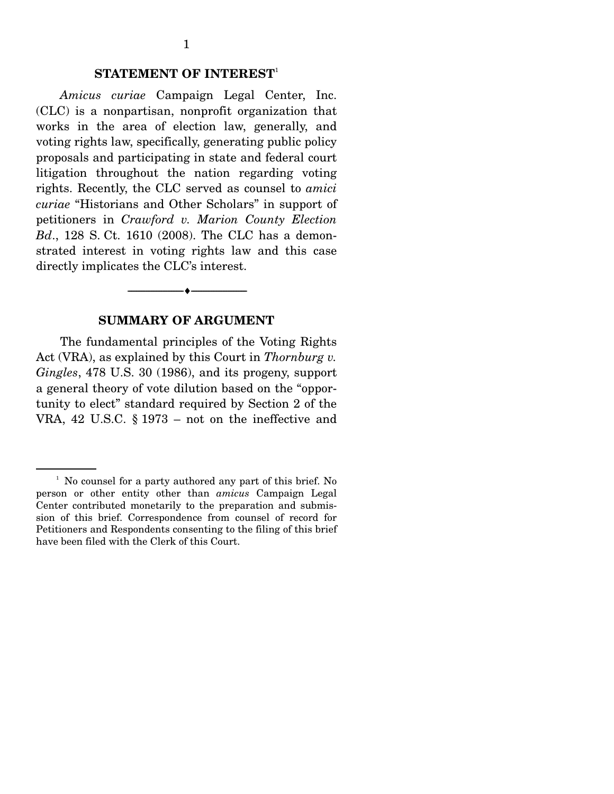### **STATEMENT OF INTEREST**<sup>1</sup>

*Amicus curiae* Campaign Legal Center, Inc. (CLC) is a nonpartisan, nonprofit organization that works in the area of election law, generally, and voting rights law, specifically, generating public policy proposals and participating in state and federal court litigation throughout the nation regarding voting rights. Recently, the CLC served as counsel to *amici curiae* "Historians and Other Scholars" in support of petitioners in *Crawford v. Marion County Election Bd*., 128 S. Ct. 1610 (2008). The CLC has a demonstrated interest in voting rights law and this case directly implicates the CLC's interest.

#### **SUMMARY OF ARGUMENT**

--------------------------------- ♦ ---------------------------------

The fundamental principles of the Voting Rights Act (VRA), as explained by this Court in *Thornburg v. Gingles*, 478 U.S. 30 (1986), and its progeny, support a general theory of vote dilution based on the "opportunity to elect" standard required by Section 2 of the VRA, 42 U.S.C. § 1973 – not on the ineffective and

<sup>&</sup>lt;sup>1</sup> No counsel for a party authored any part of this brief. No person or other entity other than *amicus* Campaign Legal Center contributed monetarily to the preparation and submission of this brief. Correspondence from counsel of record for Petitioners and Respondents consenting to the filing of this brief have been filed with the Clerk of this Court.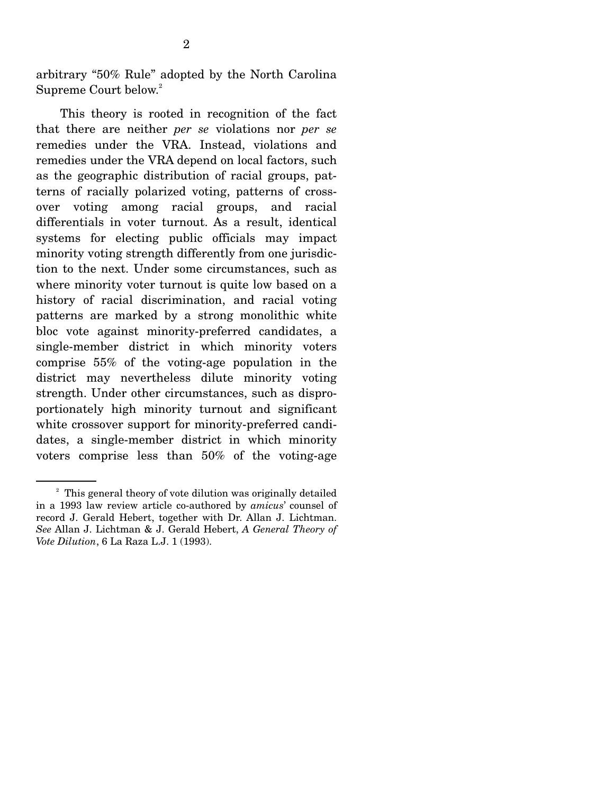arbitrary "50% Rule" adopted by the North Carolina Supreme Court below.<sup>2</sup>

 This theory is rooted in recognition of the fact that there are neither *per se* violations nor *per se* remedies under the VRA. Instead, violations and remedies under the VRA depend on local factors, such as the geographic distribution of racial groups, patterns of racially polarized voting, patterns of crossover voting among racial groups, and racial differentials in voter turnout. As a result, identical systems for electing public officials may impact minority voting strength differently from one jurisdiction to the next. Under some circumstances, such as where minority voter turnout is quite low based on a history of racial discrimination, and racial voting patterns are marked by a strong monolithic white bloc vote against minority-preferred candidates, a single-member district in which minority voters comprise 55% of the voting-age population in the district may nevertheless dilute minority voting strength. Under other circumstances, such as disproportionately high minority turnout and significant white crossover support for minority-preferred candidates, a single-member district in which minority voters comprise less than 50% of the voting-age

<sup>&</sup>lt;sup>2</sup> This general theory of vote dilution was originally detailed in a 1993 law review article co-authored by *amicus*' counsel of record J. Gerald Hebert, together with Dr. Allan J. Lichtman. *See* Allan J. Lichtman & J. Gerald Hebert, *A General Theory of Vote Dilution*, 6 La Raza L.J. 1 (1993).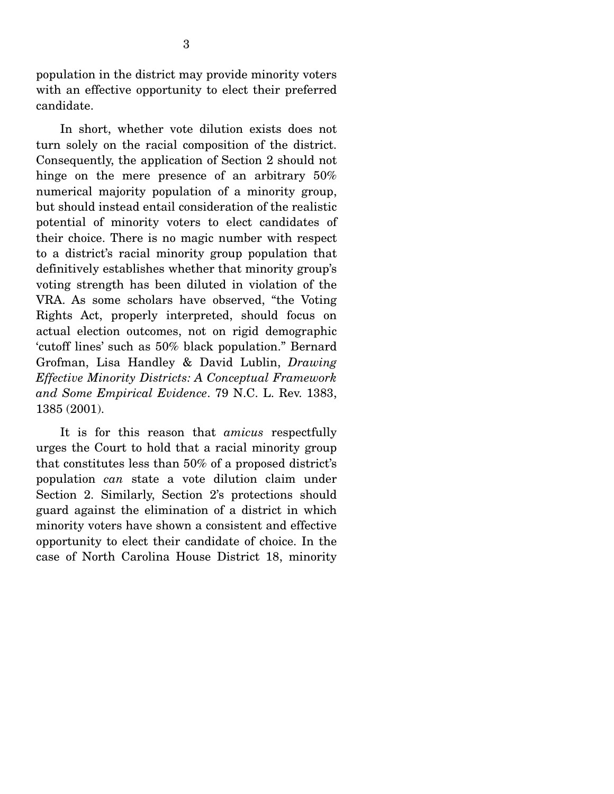population in the district may provide minority voters with an effective opportunity to elect their preferred candidate.

 In short, whether vote dilution exists does not turn solely on the racial composition of the district. Consequently, the application of Section 2 should not hinge on the mere presence of an arbitrary 50% numerical majority population of a minority group, but should instead entail consideration of the realistic potential of minority voters to elect candidates of their choice. There is no magic number with respect to a district's racial minority group population that definitively establishes whether that minority group's voting strength has been diluted in violation of the VRA. As some scholars have observed, "the Voting Rights Act, properly interpreted, should focus on actual election outcomes, not on rigid demographic 'cutoff lines' such as 50% black population." Bernard Grofman, Lisa Handley & David Lublin, *Drawing Effective Minority Districts: A Conceptual Framework and Some Empirical Evidence*. 79 N.C. L. Rev. 1383, 1385 (2001).

 It is for this reason that *amicus* respectfully urges the Court to hold that a racial minority group that constitutes less than 50% of a proposed district's population *can* state a vote dilution claim under Section 2. Similarly, Section 2's protections should guard against the elimination of a district in which minority voters have shown a consistent and effective opportunity to elect their candidate of choice. In the case of North Carolina House District 18, minority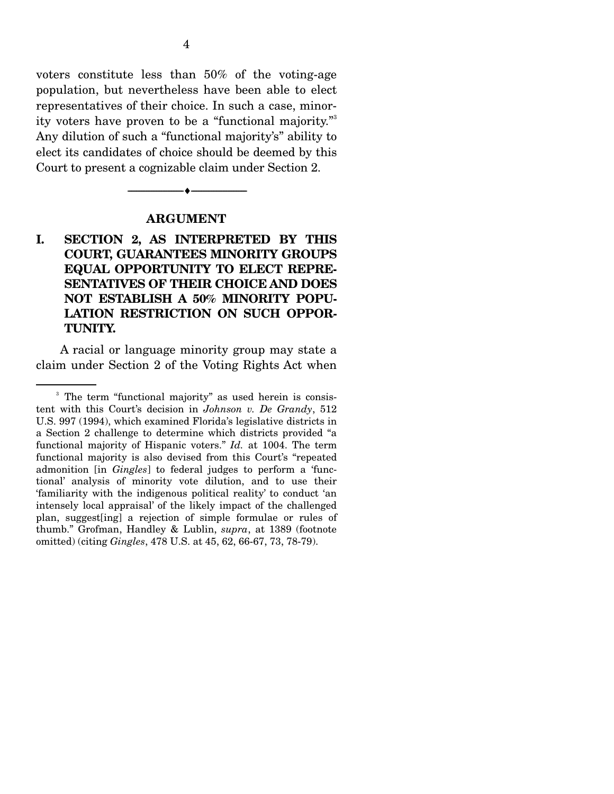voters constitute less than 50% of the voting-age population, but nevertheless have been able to elect representatives of their choice. In such a case, minority voters have proven to be a "functional majority."3 Any dilution of such a "functional majority's" ability to elect its candidates of choice should be deemed by this Court to present a cognizable claim under Section 2.

#### **ARGUMENT**

--------------------------------- ♦ ---------------------------------

# **I. SECTION 2, AS INTERPRETED BY THIS COURT, GUARANTEES MINORITY GROUPS EQUAL OPPORTUNITY TO ELECT REPRE-SENTATIVES OF THEIR CHOICE AND DOES NOT ESTABLISH A 50% MINORITY POPU-LATION RESTRICTION ON SUCH OPPOR-TUNITY.**

A racial or language minority group may state a claim under Section 2 of the Voting Rights Act when

<sup>&</sup>lt;sup>3</sup> The term "functional majority" as used herein is consistent with this Court's decision in *Johnson v. De Grandy*, 512 U.S. 997 (1994), which examined Florida's legislative districts in a Section 2 challenge to determine which districts provided "a functional majority of Hispanic voters." *Id.* at 1004. The term functional majority is also devised from this Court's "repeated admonition [in *Gingles*] to federal judges to perform a 'functional' analysis of minority vote dilution, and to use their 'familiarity with the indigenous political reality' to conduct 'an intensely local appraisal' of the likely impact of the challenged plan, suggest[ing] a rejection of simple formulae or rules of thumb." Grofman, Handley & Lublin, *supra*, at 1389 (footnote omitted) (citing *Gingles*, 478 U.S. at 45, 62, 66-67, 73, 78-79).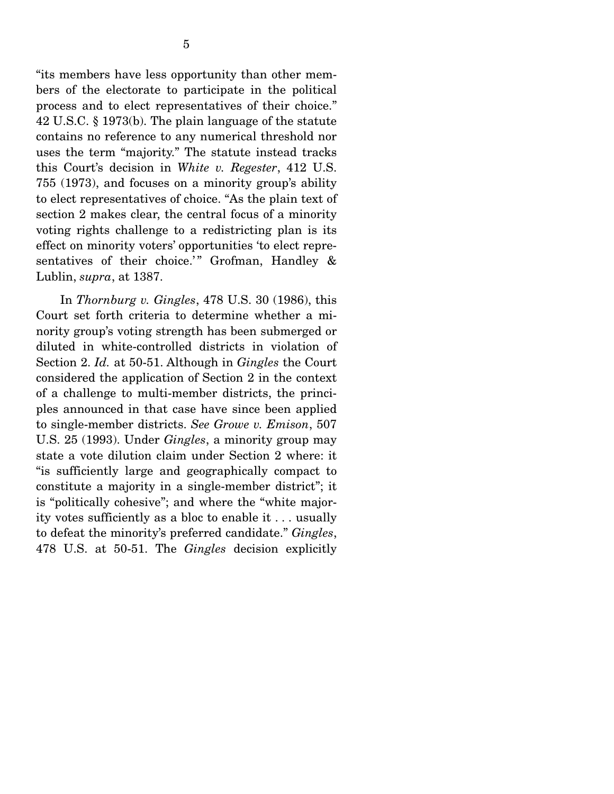"its members have less opportunity than other members of the electorate to participate in the political process and to elect representatives of their choice." 42 U.S.C. § 1973(b). The plain language of the statute contains no reference to any numerical threshold nor uses the term "majority." The statute instead tracks this Court's decision in *White v. Regester*, 412 U.S. 755 (1973), and focuses on a minority group's ability to elect representatives of choice. "As the plain text of section 2 makes clear, the central focus of a minority voting rights challenge to a redistricting plan is its effect on minority voters' opportunities 'to elect representatives of their choice.'" Grofman, Handley  $\&$ Lublin, *supra*, at 1387.

 In *Thornburg v. Gingles*, 478 U.S. 30 (1986), this Court set forth criteria to determine whether a minority group's voting strength has been submerged or diluted in white-controlled districts in violation of Section 2. *Id.* at 50-51. Although in *Gingles* the Court considered the application of Section 2 in the context of a challenge to multi-member districts, the principles announced in that case have since been applied to single-member districts. *See Growe v. Emison*, 507 U.S. 25 (1993). Under *Gingles*, a minority group may state a vote dilution claim under Section 2 where: it "is sufficiently large and geographically compact to constitute a majority in a single-member district"; it is "politically cohesive"; and where the "white majority votes sufficiently as a bloc to enable it . . . usually to defeat the minority's preferred candidate." *Gingles*, 478 U.S. at 50-51. The *Gingles* decision explicitly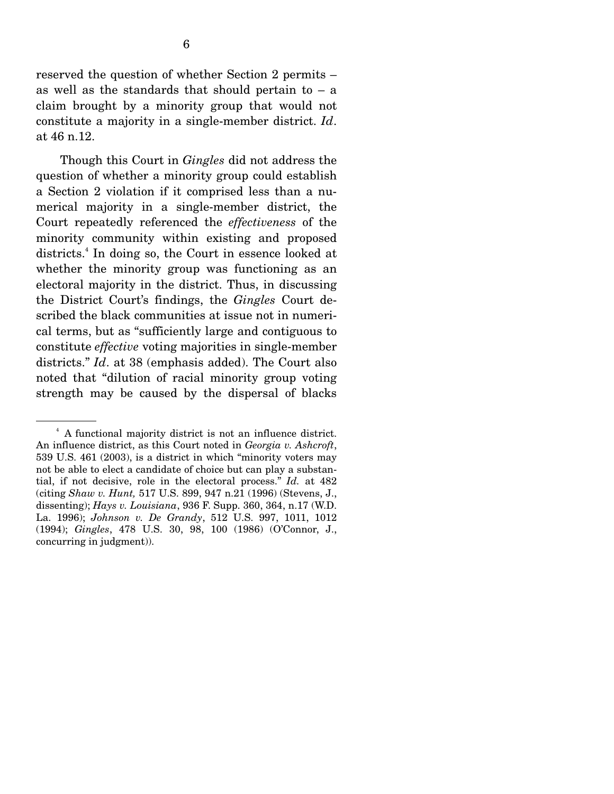reserved the question of whether Section 2 permits – as well as the standards that should pertain to  $-$  a claim brought by a minority group that would not constitute a majority in a single-member district. *Id*. at 46 n.12.

 Though this Court in *Gingles* did not address the question of whether a minority group could establish a Section 2 violation if it comprised less than a numerical majority in a single-member district, the Court repeatedly referenced the *effectiveness* of the minority community within existing and proposed districts.<sup>4</sup> In doing so, the Court in essence looked at whether the minority group was functioning as an electoral majority in the district. Thus, in discussing the District Court's findings, the *Gingles* Court described the black communities at issue not in numerical terms, but as "sufficiently large and contiguous to constitute *effective* voting majorities in single-member districts." *Id*. at 38 (emphasis added). The Court also noted that "dilution of racial minority group voting strength may be caused by the dispersal of blacks

<sup>4</sup> A functional majority district is not an influence district. An influence district, as this Court noted in *Georgia v. Ashcroft*, 539 U.S. 461 (2003), is a district in which "minority voters may not be able to elect a candidate of choice but can play a substantial, if not decisive, role in the electoral process." *Id.* at 482 (citing *Shaw v. Hunt,* 517 U.S. 899, 947 n.21 (1996) (Stevens, J., dissenting); *Hays v. Louisiana*, 936 F. Supp. 360, 364, n.17 (W.D. La. 1996); *Johnson v. De Grandy*, 512 U.S. 997, 1011, 1012 (1994); *Gingles*, 478 U.S. 30, 98, 100 (1986) (O'Connor, J., concurring in judgment)).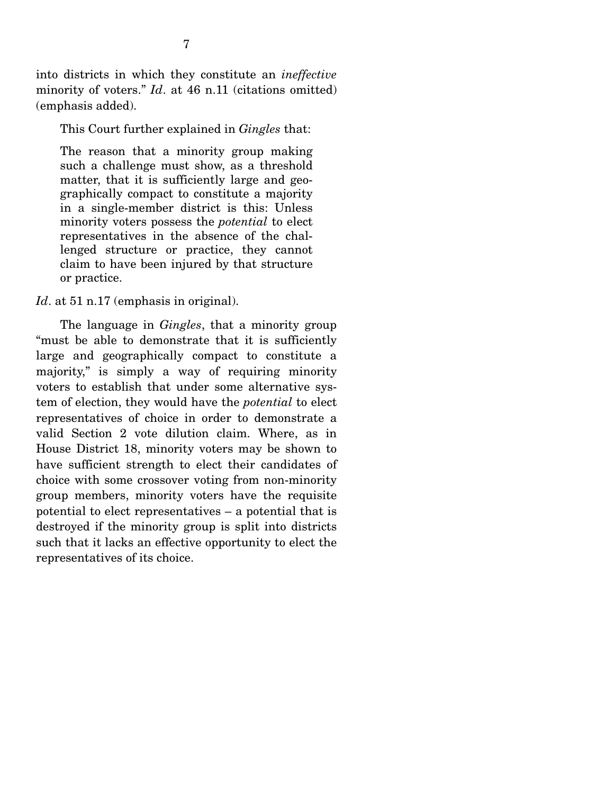into districts in which they constitute an *ineffective* minority of voters." *Id*. at 46 n.11 (citations omitted) (emphasis added).

This Court further explained in *Gingles* that:

The reason that a minority group making such a challenge must show, as a threshold matter, that it is sufficiently large and geographically compact to constitute a majority in a single-member district is this: Unless minority voters possess the *potential* to elect representatives in the absence of the challenged structure or practice, they cannot claim to have been injured by that structure or practice.

*Id.* at 51 n.17 (emphasis in original).

 The language in *Gingles*, that a minority group "must be able to demonstrate that it is sufficiently large and geographically compact to constitute a majority," is simply a way of requiring minority voters to establish that under some alternative system of election, they would have the *potential* to elect representatives of choice in order to demonstrate a valid Section 2 vote dilution claim. Where, as in House District 18, minority voters may be shown to have sufficient strength to elect their candidates of choice with some crossover voting from non-minority group members, minority voters have the requisite potential to elect representatives – a potential that is destroyed if the minority group is split into districts such that it lacks an effective opportunity to elect the representatives of its choice.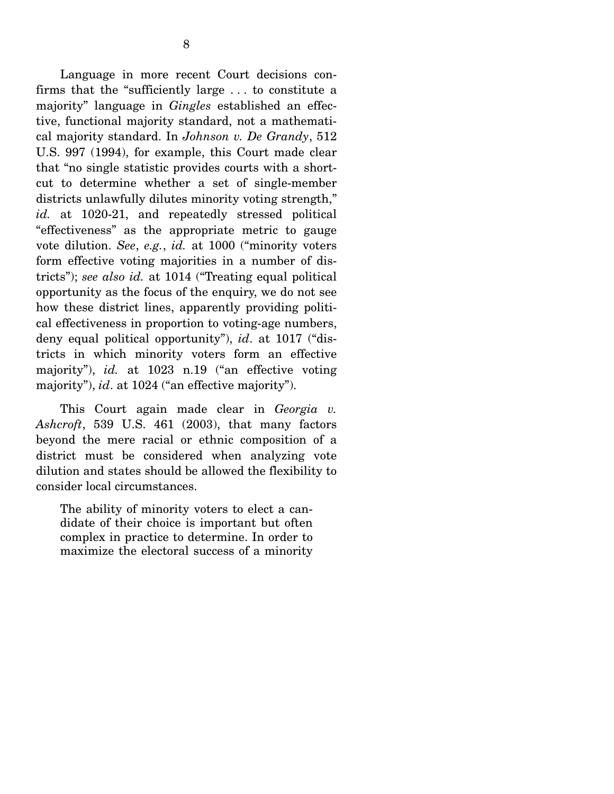Language in more recent Court decisions confirms that the "sufficiently large . . . to constitute a majority" language in *Gingles* established an effective, functional majority standard, not a mathematical majority standard. In *Johnson v. De Grandy*, 512 U.S. 997 (1994), for example, this Court made clear that "no single statistic provides courts with a shortcut to determine whether a set of single-member districts unlawfully dilutes minority voting strength," *id.* at 1020-21, and repeatedly stressed political "effectiveness" as the appropriate metric to gauge vote dilution. *See*, *e.g.*, *id.* at 1000 ("minority voters form effective voting majorities in a number of districts"); *see also id.* at 1014 ("Treating equal political opportunity as the focus of the enquiry, we do not see how these district lines, apparently providing political effectiveness in proportion to voting-age numbers, deny equal political opportunity"), *id*. at 1017 ("districts in which minority voters form an effective majority"), *id.* at 1023 n.19 ("an effective voting majority"), *id*. at 1024 ("an effective majority").

 This Court again made clear in *Georgia v. Ashcroft*, 539 U.S. 461 (2003), that many factors beyond the mere racial or ethnic composition of a district must be considered when analyzing vote dilution and states should be allowed the flexibility to consider local circumstances.

The ability of minority voters to elect a candidate of their choice is important but often complex in practice to determine. In order to maximize the electoral success of a minority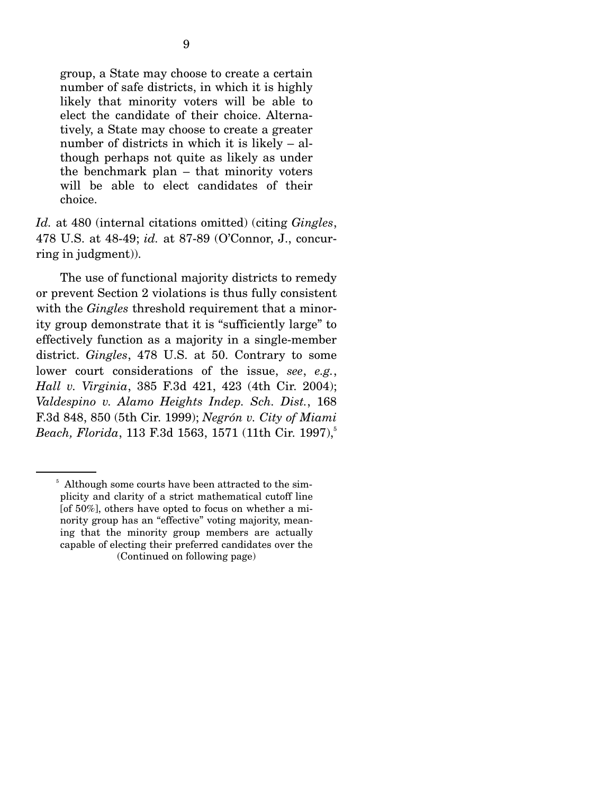group, a State may choose to create a certain number of safe districts, in which it is highly likely that minority voters will be able to elect the candidate of their choice. Alternatively, a State may choose to create a greater number of districts in which it is likely – although perhaps not quite as likely as under the benchmark plan – that minority voters will be able to elect candidates of their choice.

*Id.* at 480 (internal citations omitted) (citing *Gingles*, 478 U.S. at 48-49; *id.* at 87-89 (O'Connor, J., concurring in judgment)).

 The use of functional majority districts to remedy or prevent Section 2 violations is thus fully consistent with the *Gingles* threshold requirement that a minority group demonstrate that it is "sufficiently large" to effectively function as a majority in a single-member district. *Gingles*, 478 U.S. at 50. Contrary to some lower court considerations of the issue, *see*, *e.g.*, *Hall v. Virginia*, 385 F.3d 421, 423 (4th Cir. 2004); *Valdespino v. Alamo Heights Indep. Sch. Dist.*, 168 F.3d 848, 850 (5th Cir. 1999); *Negrón v. City of Miami Beach, Florida, 113 F.3d 1563, 1571 (11th Cir. 1997)*<sup>5</sup>

<sup>&</sup>lt;sup>5</sup> Although some courts have been attracted to the simplicity and clarity of a strict mathematical cutoff line [of  $50\%$ ], others have opted to focus on whether a minority group has an "effective" voting majority, meaning that the minority group members are actually capable of electing their preferred candidates over the (Continued on following page)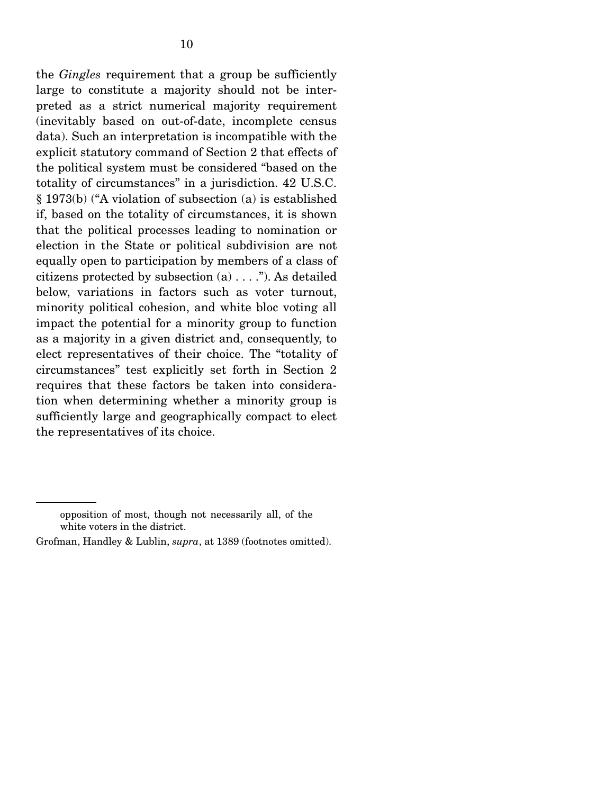the *Gingles* requirement that a group be sufficiently large to constitute a majority should not be interpreted as a strict numerical majority requirement (inevitably based on out-of-date, incomplete census data). Such an interpretation is incompatible with the explicit statutory command of Section 2 that effects of the political system must be considered "based on the totality of circumstances" in a jurisdiction. 42 U.S.C. § 1973(b) ("A violation of subsection (a) is established if, based on the totality of circumstances, it is shown that the political processes leading to nomination or election in the State or political subdivision are not equally open to participation by members of a class of citizens protected by subsection  $(a) \ldots$ "). As detailed below, variations in factors such as voter turnout, minority political cohesion, and white bloc voting all impact the potential for a minority group to function as a majority in a given district and, consequently, to elect representatives of their choice. The "totality of circumstances" test explicitly set forth in Section 2 requires that these factors be taken into consideration when determining whether a minority group is sufficiently large and geographically compact to elect the representatives of its choice.

opposition of most, though not necessarily all, of the white voters in the district.

Grofman, Handley & Lublin, *supra*, at 1389 (footnotes omitted).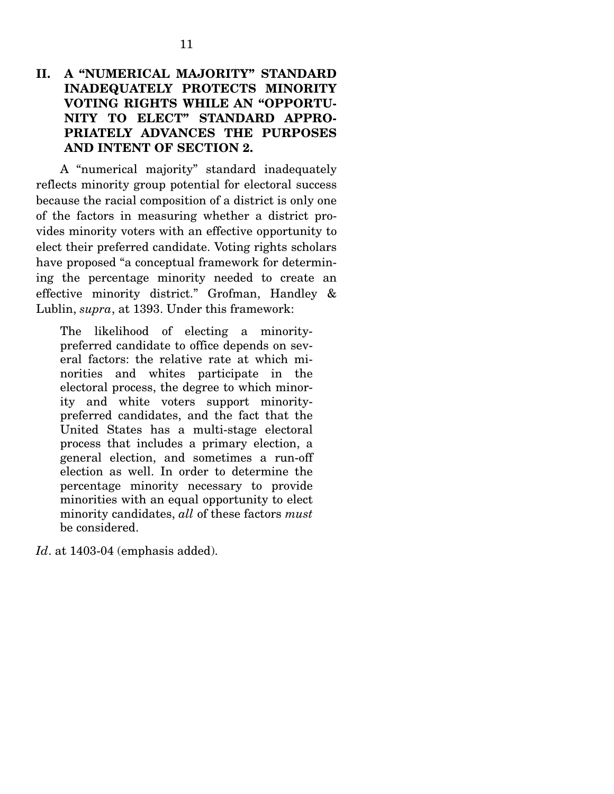A "numerical majority" standard inadequately reflects minority group potential for electoral success because the racial composition of a district is only one of the factors in measuring whether a district provides minority voters with an effective opportunity to elect their preferred candidate. Voting rights scholars have proposed "a conceptual framework for determining the percentage minority needed to create an effective minority district." Grofman, Handley & Lublin, *supra*, at 1393. Under this framework:

The likelihood of electing a minoritypreferred candidate to office depends on several factors: the relative rate at which minorities and whites participate in the electoral process, the degree to which minority and white voters support minoritypreferred candidates, and the fact that the United States has a multi-stage electoral process that includes a primary election, a general election, and sometimes a run-off election as well. In order to determine the percentage minority necessary to provide minorities with an equal opportunity to elect minority candidates, *all* of these factors *must* be considered.

*Id*. at 1403-04 (emphasis added).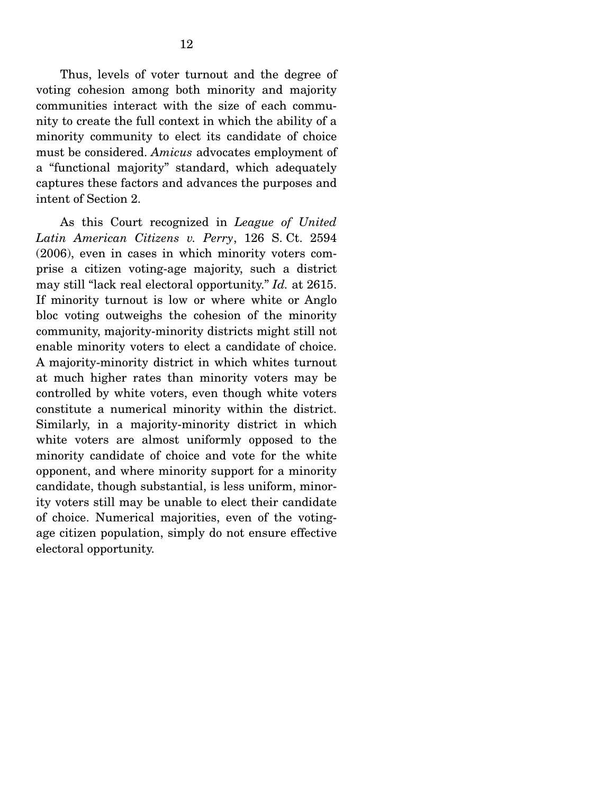Thus, levels of voter turnout and the degree of voting cohesion among both minority and majority communities interact with the size of each community to create the full context in which the ability of a minority community to elect its candidate of choice must be considered. *Amicus* advocates employment of a "functional majority" standard, which adequately captures these factors and advances the purposes and intent of Section 2.

 As this Court recognized in *League of United Latin American Citizens v. Perry*, 126 S. Ct. 2594 (2006), even in cases in which minority voters comprise a citizen voting-age majority, such a district may still "lack real electoral opportunity." *Id.* at 2615. If minority turnout is low or where white or Anglo bloc voting outweighs the cohesion of the minority community, majority-minority districts might still not enable minority voters to elect a candidate of choice. A majority-minority district in which whites turnout at much higher rates than minority voters may be controlled by white voters, even though white voters constitute a numerical minority within the district. Similarly, in a majority-minority district in which white voters are almost uniformly opposed to the minority candidate of choice and vote for the white opponent, and where minority support for a minority candidate, though substantial, is less uniform, minority voters still may be unable to elect their candidate of choice. Numerical majorities, even of the votingage citizen population, simply do not ensure effective electoral opportunity.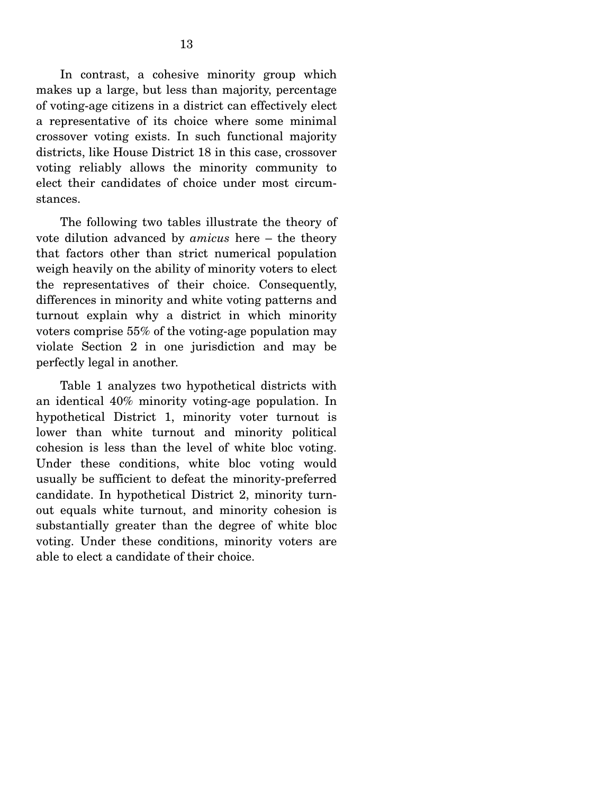In contrast, a cohesive minority group which makes up a large, but less than majority, percentage of voting-age citizens in a district can effectively elect a representative of its choice where some minimal crossover voting exists. In such functional majority districts, like House District 18 in this case, crossover voting reliably allows the minority community to elect their candidates of choice under most circumstances.

 The following two tables illustrate the theory of vote dilution advanced by *amicus* here – the theory that factors other than strict numerical population weigh heavily on the ability of minority voters to elect the representatives of their choice. Consequently, differences in minority and white voting patterns and turnout explain why a district in which minority voters comprise 55% of the voting-age population may violate Section 2 in one jurisdiction and may be perfectly legal in another.

 Table 1 analyzes two hypothetical districts with an identical 40% minority voting-age population. In hypothetical District 1, minority voter turnout is lower than white turnout and minority political cohesion is less than the level of white bloc voting. Under these conditions, white bloc voting would usually be sufficient to defeat the minority-preferred candidate. In hypothetical District 2, minority turnout equals white turnout, and minority cohesion is substantially greater than the degree of white bloc voting. Under these conditions, minority voters are able to elect a candidate of their choice.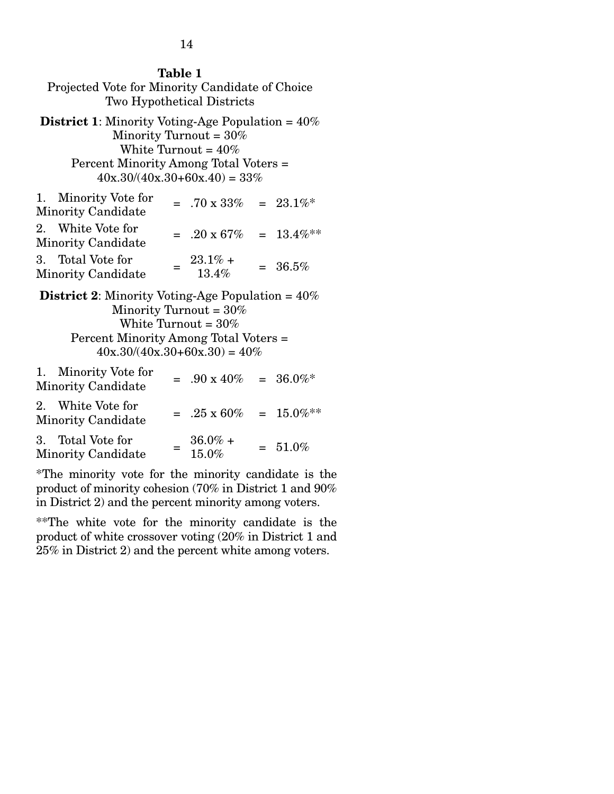| <b>Table 1</b><br>Projected Vote for Minority Candidate of Choice<br><b>Two Hypothetical Districts</b>                                                                                                                   |  |                                    |  |              |
|--------------------------------------------------------------------------------------------------------------------------------------------------------------------------------------------------------------------------|--|------------------------------------|--|--------------|
| <b>District 1:</b> Minority Voting-Age Population $= 40\%$<br>Minority Turnout = $30\%$<br>White Turnout = $40\%$<br>Percent Minority Among Total Voters =<br>$40x.30/(40x.30+60x.40) = 33\%$                            |  |                                    |  |              |
| Minority Vote for<br>1.<br><b>Minority Candidate</b>                                                                                                                                                                     |  | $= .70 \times 33\%$                |  | $= 23.1\%$ * |
| 2. White Vote for<br>Minority Candidate                                                                                                                                                                                  |  | $= .20 \times 67\% = 13.4\%$ **    |  |              |
| 3. Total Vote for<br><b>Minority Candidate</b>                                                                                                                                                                           |  | $=$ $\frac{23.1\%}{19.4}$<br>13.4% |  | $= 36.5%$    |
| <b>District 2:</b> Minority Voting-Age Population = $40\%$<br>Minority Turnout = $30\%$<br>White Turnout = $30\%$<br>Percent Minority Among Total Voters =<br>$40x.30/(40x.30+60x.30) = 40\%$<br>Minority Vote for<br>1. |  |                                    |  |              |
| Ћ Г°                                                                                                                                                                                                                     |  | $= .90 \times 40\% = 36.0\%$       |  |              |

| <b>1.</b> INTITIOTIAL ACTOR TOT<br><b>Minority Candidate</b> | $= .90 \times 40\% = 36.0\%$    |            |
|--------------------------------------------------------------|---------------------------------|------------|
| 2. White Vote for<br>Minority Candidate                      | $= .25 \times 60\% = 15.0\%$ ** |            |
| 3. Total Vote for<br>Minority Candidate                      | $36.0\% +$<br>15.0%             | $= 51.0\%$ |

\*The minority vote for the minority candidate is the product of minority cohesion (70% in District 1 and 90% in District 2) and the percent minority among voters.

\*\*The white vote for the minority candidate is the product of white crossover voting (20% in District 1 and 25% in District 2) and the percent white among voters.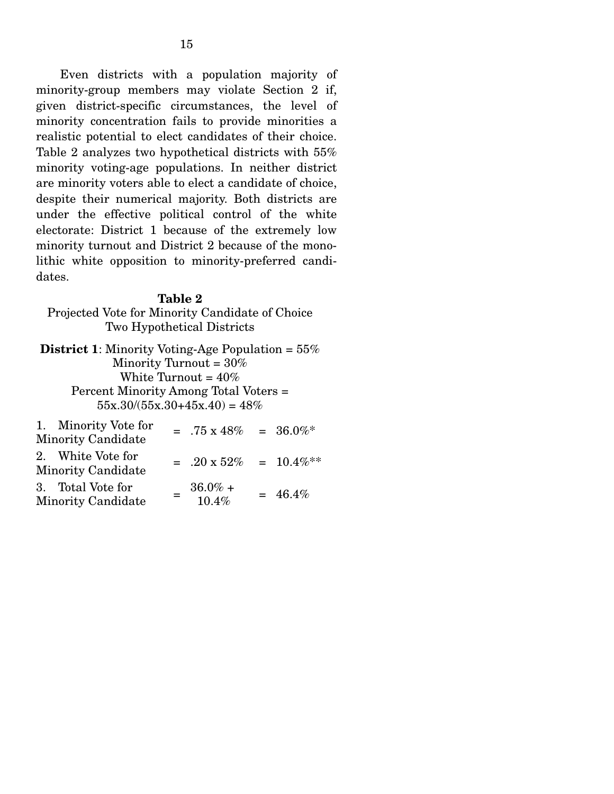Even districts with a population majority of minority-group members may violate Section 2 if, given district-specific circumstances, the level of minority concentration fails to provide minorities a realistic potential to elect candidates of their choice. Table 2 analyzes two hypothetical districts with 55% minority voting-age populations. In neither district are minority voters able to elect a candidate of choice, despite their numerical majority. Both districts are under the effective political control of the white electorate: District 1 because of the extremely low minority turnout and District 2 because of the monolithic white opposition to minority-preferred candidates.

#### **Table 2**

Projected Vote for Minority Candidate of Choice Two Hypothetical Districts

**District 1**: Minority Voting-Age Population = 55% Minority Turnout = 30% White Turnout =  $40\%$ Percent Minority Among Total Voters =  $55x.30/(55x.30+45x.40) = 48\%$  $1.1 \times 1.1 \times 1.1$ 

| 1. Minority Vote for<br><b>Minority Candidate</b> |     | $= .75 \times 48\% = 36.0\%$               |            |
|---------------------------------------------------|-----|--------------------------------------------|------------|
| 2. White Vote for<br><b>Minority Candidate</b>    |     | $= .20 \times 52\% = 10.4\%$ <sup>**</sup> |            |
| 3. Total Vote for<br><b>Minority Candidate</b>    | $=$ | $36.0\% +$<br>10.4%                        | $= 46.4\%$ |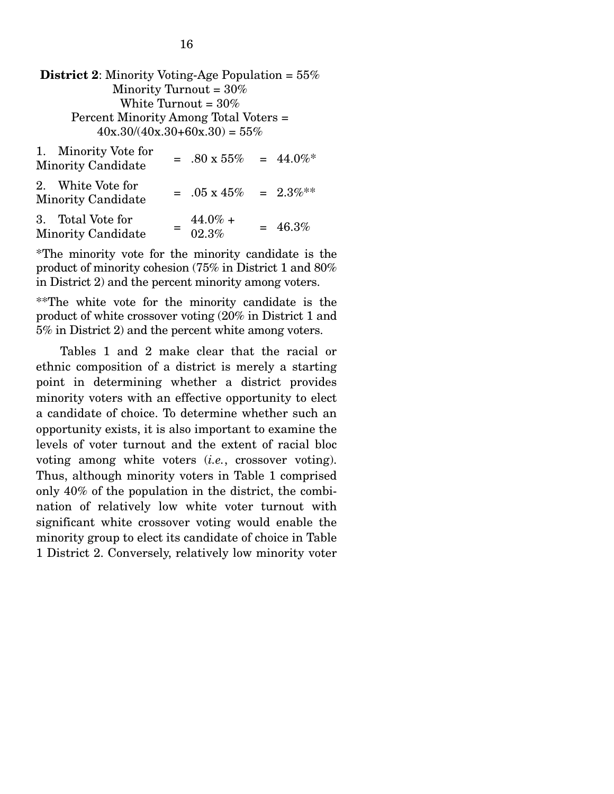| <b>District 2:</b> Minority Voting-Age Population $= 55\%$<br>Minority Turnout = $30\%$<br>White Turnout = $30\%$ |  |                                |  |            |  |
|-------------------------------------------------------------------------------------------------------------------|--|--------------------------------|--|------------|--|
| Percent Minority Among Total Voters =<br>$40x.30/(40x.30+60x.30) = 55\%$                                          |  |                                |  |            |  |
| 1. Minority Vote for<br><b>Minority Candidate</b>                                                                 |  | $= .80 \times 55\% = 44.0\%$   |  |            |  |
| 2. White Vote for<br><b>Minority Candidate</b>                                                                    |  | $= .05 \times 45\% = 2.3\%$ ** |  |            |  |
| 3. Total Vote for<br><b>Minority Candidate</b>                                                                    |  | $44.0\% +$<br>02.3%            |  | $= 46.3\%$ |  |

\*The minority vote for the minority candidate is the product of minority cohesion (75% in District 1 and 80% in District 2) and the percent minority among voters.

\*\*The white vote for the minority candidate is the product of white crossover voting (20% in District 1 and 5% in District 2) and the percent white among voters.

 Tables 1 and 2 make clear that the racial or ethnic composition of a district is merely a starting point in determining whether a district provides minority voters with an effective opportunity to elect a candidate of choice. To determine whether such an opportunity exists, it is also important to examine the levels of voter turnout and the extent of racial bloc voting among white voters (*i.e.*, crossover voting). Thus, although minority voters in Table 1 comprised only 40% of the population in the district, the combination of relatively low white voter turnout with significant white crossover voting would enable the minority group to elect its candidate of choice in Table 1 District 2. Conversely, relatively low minority voter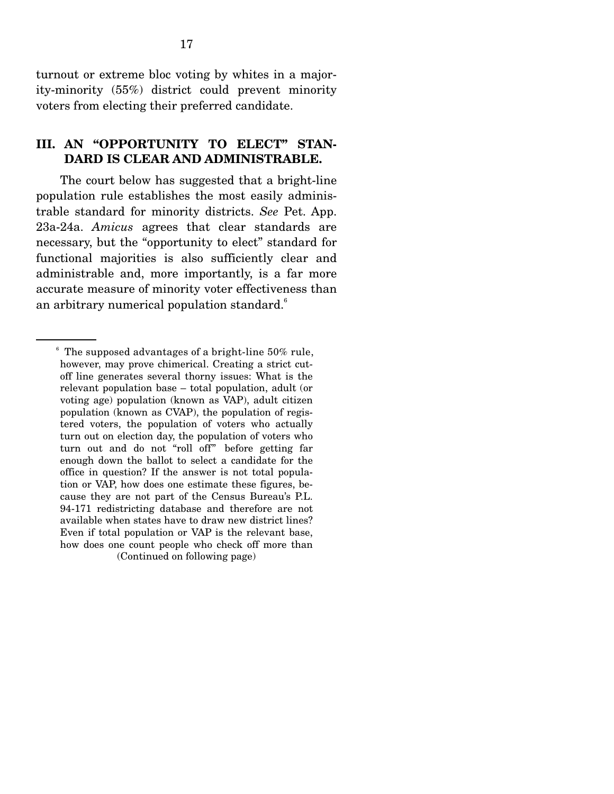turnout or extreme bloc voting by whites in a majority-minority (55%) district could prevent minority voters from electing their preferred candidate.

### **III. AN "OPPORTUNITY TO ELECT" STAN-DARD IS CLEAR AND ADMINISTRABLE.**

The court below has suggested that a bright-line population rule establishes the most easily administrable standard for minority districts. *See* Pet. App. 23a-24a. *Amicus* agrees that clear standards are necessary, but the "opportunity to elect" standard for functional majorities is also sufficiently clear and administrable and, more importantly, is a far more accurate measure of minority voter effectiveness than an arbitrary numerical population standard.<sup>6</sup>

<sup>&</sup>lt;sup>6</sup> The supposed advantages of a bright-line 50% rule, however, may prove chimerical. Creating a strict cutoff line generates several thorny issues: What is the relevant population base – total population, adult (or voting age) population (known as VAP), adult citizen population (known as CVAP), the population of registered voters, the population of voters who actually turn out on election day, the population of voters who turn out and do not "roll off" before getting far enough down the ballot to select a candidate for the office in question? If the answer is not total population or VAP, how does one estimate these figures, because they are not part of the Census Bureau's P.L. 94-171 redistricting database and therefore are not available when states have to draw new district lines? Even if total population or VAP is the relevant base, how does one count people who check off more than (Continued on following page)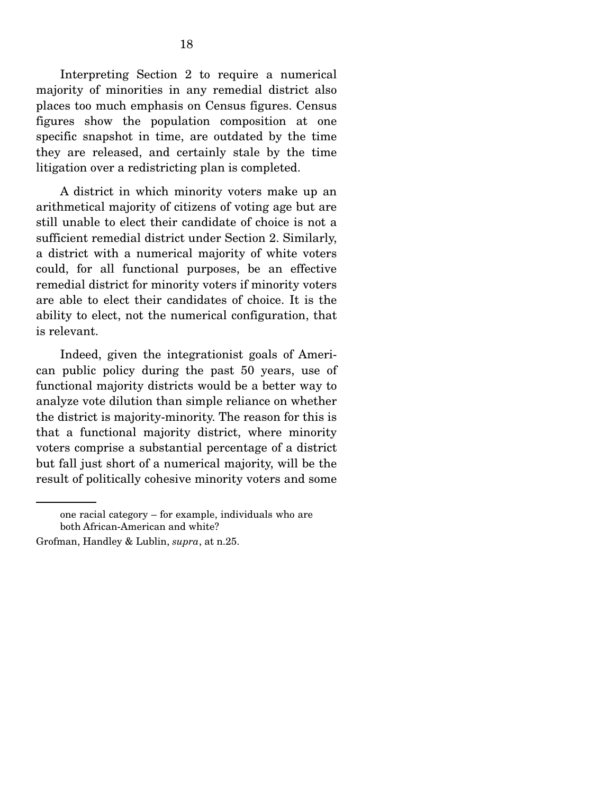Interpreting Section 2 to require a numerical majority of minorities in any remedial district also places too much emphasis on Census figures. Census figures show the population composition at one specific snapshot in time, are outdated by the time they are released, and certainly stale by the time litigation over a redistricting plan is completed.

 A district in which minority voters make up an arithmetical majority of citizens of voting age but are still unable to elect their candidate of choice is not a sufficient remedial district under Section 2. Similarly, a district with a numerical majority of white voters could, for all functional purposes, be an effective remedial district for minority voters if minority voters are able to elect their candidates of choice. It is the ability to elect, not the numerical configuration, that is relevant.

 Indeed, given the integrationist goals of American public policy during the past 50 years, use of functional majority districts would be a better way to analyze vote dilution than simple reliance on whether the district is majority-minority. The reason for this is that a functional majority district, where minority voters comprise a substantial percentage of a district but fall just short of a numerical majority, will be the result of politically cohesive minority voters and some

one racial category – for example, individuals who are both African-American and white?

Grofman, Handley & Lublin, *supra*, at n.25.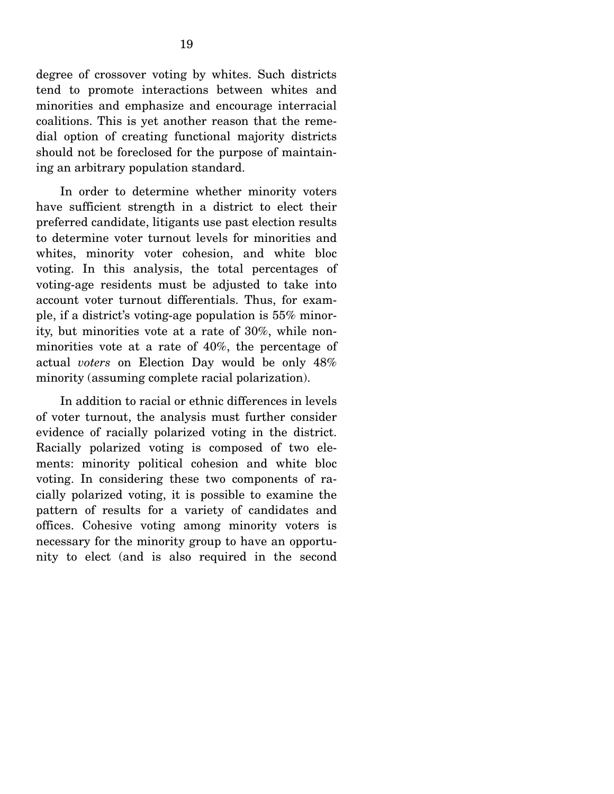degree of crossover voting by whites. Such districts tend to promote interactions between whites and minorities and emphasize and encourage interracial coalitions. This is yet another reason that the remedial option of creating functional majority districts should not be foreclosed for the purpose of maintaining an arbitrary population standard.

 In order to determine whether minority voters have sufficient strength in a district to elect their preferred candidate, litigants use past election results to determine voter turnout levels for minorities and whites, minority voter cohesion, and white bloc voting. In this analysis, the total percentages of voting-age residents must be adjusted to take into account voter turnout differentials. Thus, for example, if a district's voting-age population is 55% minority, but minorities vote at a rate of 30%, while nonminorities vote at a rate of 40%, the percentage of actual *voters* on Election Day would be only 48% minority (assuming complete racial polarization).

 In addition to racial or ethnic differences in levels of voter turnout, the analysis must further consider evidence of racially polarized voting in the district. Racially polarized voting is composed of two elements: minority political cohesion and white bloc voting. In considering these two components of racially polarized voting, it is possible to examine the pattern of results for a variety of candidates and offices. Cohesive voting among minority voters is necessary for the minority group to have an opportunity to elect (and is also required in the second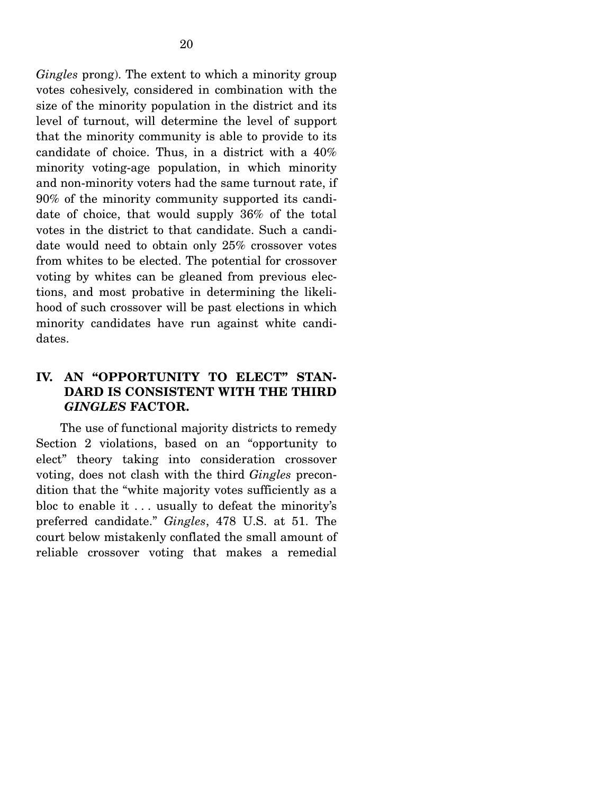*Gingles* prong). The extent to which a minority group votes cohesively, considered in combination with the size of the minority population in the district and its level of turnout, will determine the level of support that the minority community is able to provide to its candidate of choice. Thus, in a district with a 40% minority voting-age population, in which minority and non-minority voters had the same turnout rate, if 90% of the minority community supported its candidate of choice, that would supply 36% of the total votes in the district to that candidate. Such a candidate would need to obtain only 25% crossover votes from whites to be elected. The potential for crossover voting by whites can be gleaned from previous elections, and most probative in determining the likelihood of such crossover will be past elections in which minority candidates have run against white candidates.

# **IV. AN "OPPORTUNITY TO ELECT" STAN-DARD IS CONSISTENT WITH THE THIRD**  *GINGLES* **FACTOR.**

The use of functional majority districts to remedy Section 2 violations, based on an "opportunity to elect" theory taking into consideration crossover voting, does not clash with the third *Gingles* precondition that the "white majority votes sufficiently as a bloc to enable it . . . usually to defeat the minority's preferred candidate." *Gingles*, 478 U.S. at 51. The court below mistakenly conflated the small amount of reliable crossover voting that makes a remedial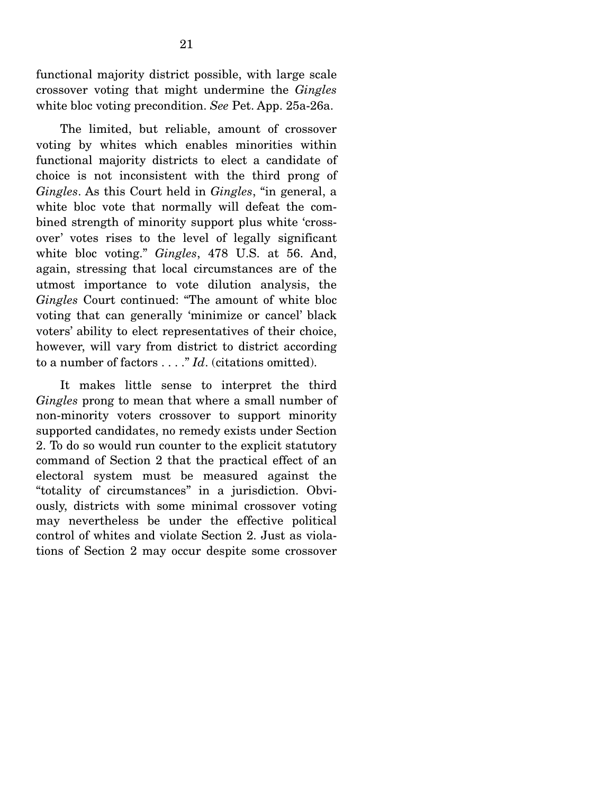functional majority district possible, with large scale crossover voting that might undermine the *Gingles* white bloc voting precondition. *See* Pet. App. 25a-26a.

 The limited, but reliable, amount of crossover voting by whites which enables minorities within functional majority districts to elect a candidate of choice is not inconsistent with the third prong of *Gingles*. As this Court held in *Gingles*, "in general, a white bloc vote that normally will defeat the combined strength of minority support plus white 'crossover' votes rises to the level of legally significant white bloc voting." *Gingles*, 478 U.S. at 56. And, again, stressing that local circumstances are of the utmost importance to vote dilution analysis, the *Gingles* Court continued: "The amount of white bloc voting that can generally 'minimize or cancel' black voters' ability to elect representatives of their choice, however, will vary from district to district according to a number of factors . . . ." *Id*. (citations omitted).

 It makes little sense to interpret the third *Gingles* prong to mean that where a small number of non-minority voters crossover to support minority supported candidates, no remedy exists under Section 2. To do so would run counter to the explicit statutory command of Section 2 that the practical effect of an electoral system must be measured against the "totality of circumstances" in a jurisdiction. Obviously, districts with some minimal crossover voting may nevertheless be under the effective political control of whites and violate Section 2. Just as violations of Section 2 may occur despite some crossover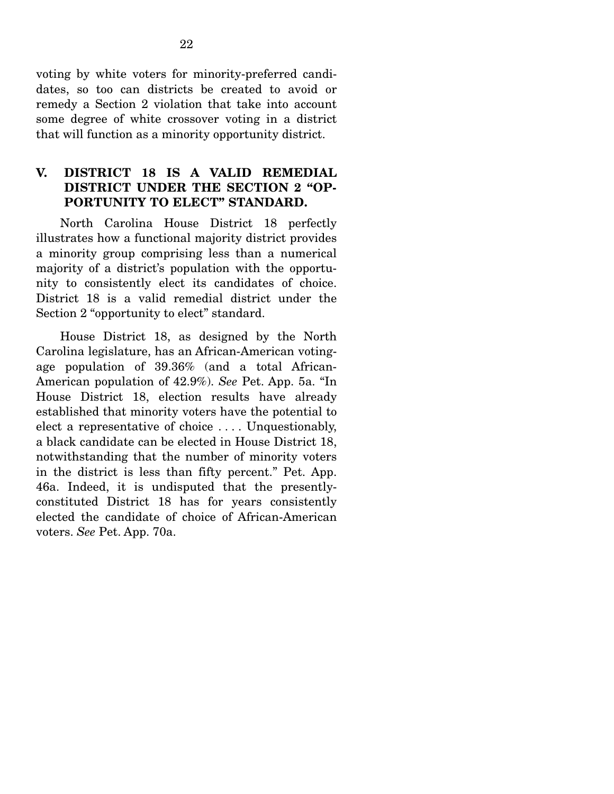voting by white voters for minority-preferred candidates, so too can districts be created to avoid or remedy a Section 2 violation that take into account some degree of white crossover voting in a district that will function as a minority opportunity district.

### **V. DISTRICT 18 IS A VALID REMEDIAL DISTRICT UNDER THE SECTION 2 "OP-PORTUNITY TO ELECT" STANDARD.**

North Carolina House District 18 perfectly illustrates how a functional majority district provides a minority group comprising less than a numerical majority of a district's population with the opportunity to consistently elect its candidates of choice. District 18 is a valid remedial district under the Section 2 "opportunity to elect" standard.

 House District 18, as designed by the North Carolina legislature, has an African-American votingage population of 39.36% (and a total African-American population of 42.9%). *See* Pet. App. 5a. "In House District 18, election results have already established that minority voters have the potential to elect a representative of choice  $\dots$ . Unquestionably, a black candidate can be elected in House District 18, notwithstanding that the number of minority voters in the district is less than fifty percent." Pet. App. 46a. Indeed, it is undisputed that the presentlyconstituted District 18 has for years consistently elected the candidate of choice of African-American voters. *See* Pet. App. 70a.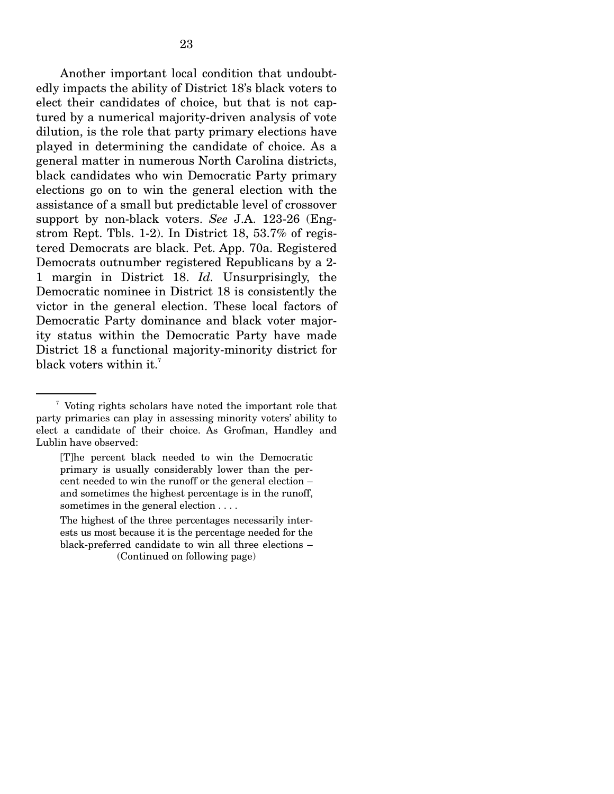Another important local condition that undoubtedly impacts the ability of District 18's black voters to elect their candidates of choice, but that is not captured by a numerical majority-driven analysis of vote dilution, is the role that party primary elections have played in determining the candidate of choice. As a general matter in numerous North Carolina districts, black candidates who win Democratic Party primary elections go on to win the general election with the assistance of a small but predictable level of crossover support by non-black voters. *See* J.A. 123-26 (Engstrom Rept. Tbls. 1-2). In District 18, 53.7% of registered Democrats are black. Pet. App. 70a. Registered Democrats outnumber registered Republicans by a 2- 1 margin in District 18. *Id.* Unsurprisingly, the Democratic nominee in District 18 is consistently the victor in the general election. These local factors of Democratic Party dominance and black voter majority status within the Democratic Party have made District 18 a functional majority-minority district for black voters within it.<sup>7</sup>

<sup>7</sup> Voting rights scholars have noted the important role that party primaries can play in assessing minority voters' ability to elect a candidate of their choice. As Grofman, Handley and Lublin have observed:

<sup>[</sup>T]he percent black needed to win the Democratic primary is usually considerably lower than the percent needed to win the runoff or the general election – and sometimes the highest percentage is in the runoff, sometimes in the general election . . . .

The highest of the three percentages necessarily interests us most because it is the percentage needed for the black-preferred candidate to win all three elections – (Continued on following page)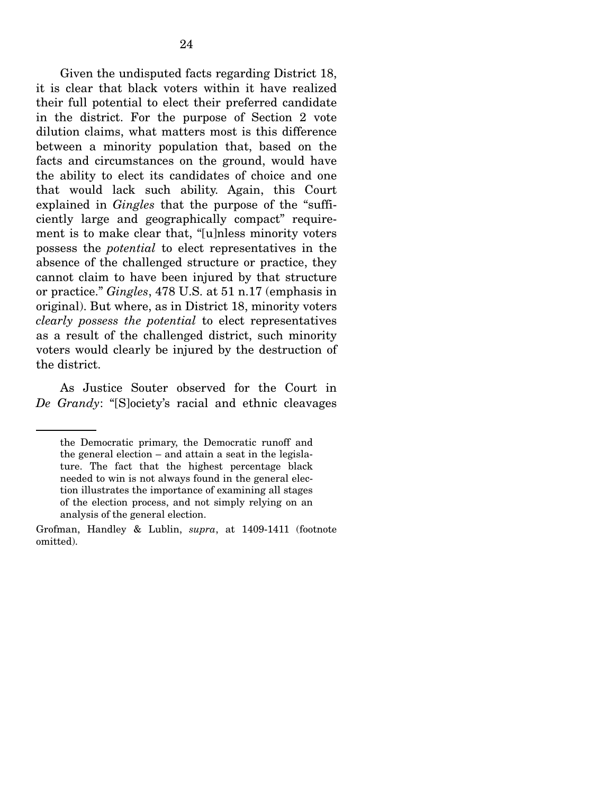Given the undisputed facts regarding District 18, it is clear that black voters within it have realized their full potential to elect their preferred candidate in the district. For the purpose of Section 2 vote dilution claims, what matters most is this difference between a minority population that, based on the facts and circumstances on the ground, would have the ability to elect its candidates of choice and one that would lack such ability. Again, this Court explained in *Gingles* that the purpose of the "sufficiently large and geographically compact" requirement is to make clear that, "[u]nless minority voters possess the *potential* to elect representatives in the absence of the challenged structure or practice, they cannot claim to have been injured by that structure or practice." *Gingles*, 478 U.S. at 51 n.17 (emphasis in original). But where, as in District 18, minority voters *clearly possess the potential* to elect representatives as a result of the challenged district, such minority voters would clearly be injured by the destruction of the district.

 As Justice Souter observed for the Court in *De Grandy*: "[S]ociety's racial and ethnic cleavages

the Democratic primary, the Democratic runoff and the general election – and attain a seat in the legislature. The fact that the highest percentage black needed to win is not always found in the general election illustrates the importance of examining all stages of the election process, and not simply relying on an analysis of the general election.

Grofman, Handley & Lublin, *supra*, at 1409-1411 (footnote omitted).